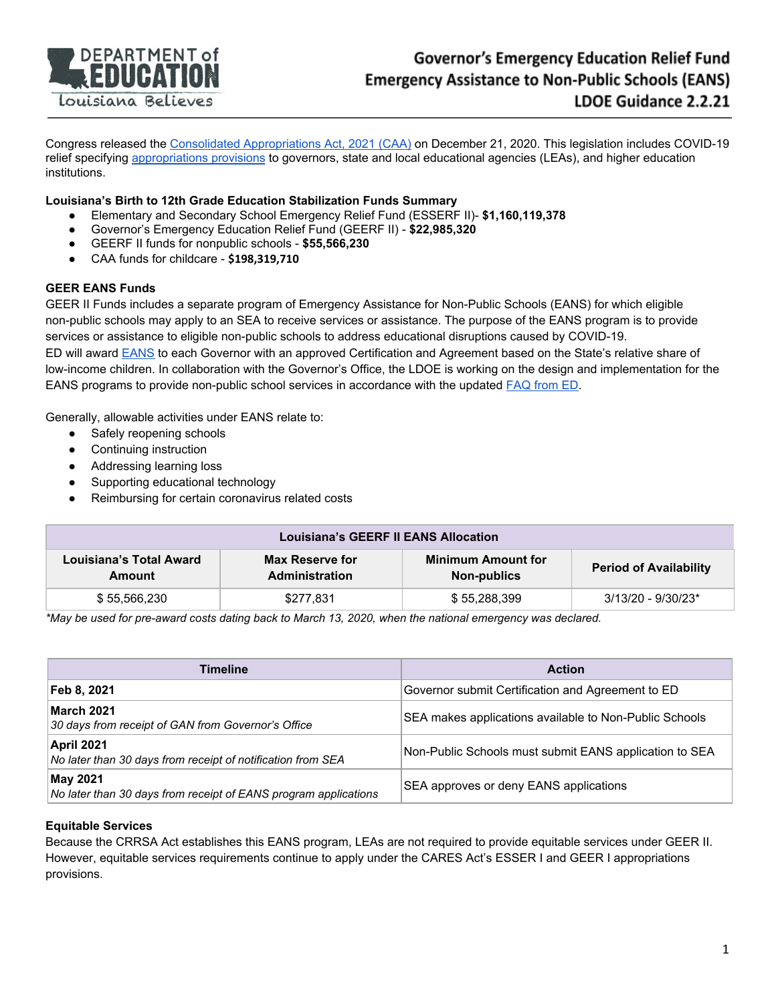

Congress released the Consolidated [Appropriations](https://www.congress.gov/116/bills/hr133/BILLS-116hr133enr.pdf) Act, 2021 (CAA) on December 21, 2020. This legislation includes COVID-19 relief specifying [appropriations](https://appropriations.house.gov/sites/democrats.appropriations.house.gov/files/Summary%20of%20H.R.%20133%20Appropriations%20Provisions.pdf) provisions to governors, state and local educational agencies (LEAs), and higher education institutions.

### **Louisiana's Birth to 12th Grade Education Stabilization Funds Summary**

- Elementary and Secondary School Emergency Relief Fund (ESSERF II)- **\$1,160,119,378**
- Governor's Emergency Education Relief Fund (GEERF II) **\$22,985,320**
- **●** GEERF II funds for nonpublic schools **\$55,566,230**
- **●** CAA funds for childcare **\$198,319,710**

#### **GEER EANS Funds**

GEER II Funds includes a separate program of Emergency Assistance for Non-Public Schools (EANS) for which eligible non-public schools may apply to an SEA to receive services or assistance. The purpose of the EANS program is to provide services or assistance to eligible non-public schools to address educational disruptions caused by COVID-19. ED will award [EANS](https://oese.ed.gov/files/2021/01/FINAL_GEERII_EANS-Methodology_Table_1.8.21.pdf) to each Governor with an approved Certification and Agreement based on the State's relative share of low-income children. In collaboration with the Governor's Office, the LDOE is working on the design and implementation for the EANS programs to provide non-public school services in accordance with the updated [FAQ](https://oese.ed.gov/files/2021/01/Final_EANS_FAQs_1.14.21.pdf) from ED.

Generally, allowable activities under EANS relate to:

- Safely reopening schools
- Continuing instruction
- Addressing learning loss
- Supporting educational technology
- Reimbursing for certain coronavirus related costs

| <b>Louisiana's GEERF II EANS Allocation</b> |                                                 |                                                 |                               |  |
|---------------------------------------------|-------------------------------------------------|-------------------------------------------------|-------------------------------|--|
| Louisiana's Total Award<br>Amount           | <b>Max Reserve for</b><br><b>Administration</b> | <b>Minimum Amount for</b><br><b>Non-publics</b> | <b>Period of Availability</b> |  |
| \$55.566.230                                | \$277,831                                       | \$55,288,399                                    | 3/13/20 - 9/30/23*            |  |

*\*May be used for pre-award costs dating back to March 13, 2020, when the national emergency was declared.*

| Timeline                                                                         | <b>Action</b>                                          |
|----------------------------------------------------------------------------------|--------------------------------------------------------|
| Feb 8, 2021                                                                      | Governor submit Certification and Agreement to ED      |
| <b>March 2021</b><br>30 days from receipt of GAN from Governor's Office          | SEA makes applications available to Non-Public Schools |
| <b>April 2021</b><br>No later than 30 days from receipt of notification from SEA | Non-Public Schools must submit EANS application to SEA |
| May 2021<br>No later than 30 days from receipt of EANS program applications      | SEA approves or deny EANS applications                 |

### **Equitable Services**

Because the CRRSA Act establishes this EANS program, LEAs are not required to provide equitable services under GEER II. However, equitable services requirements continue to apply under the CARES Act's ESSER I and GEER I appropriations provisions.